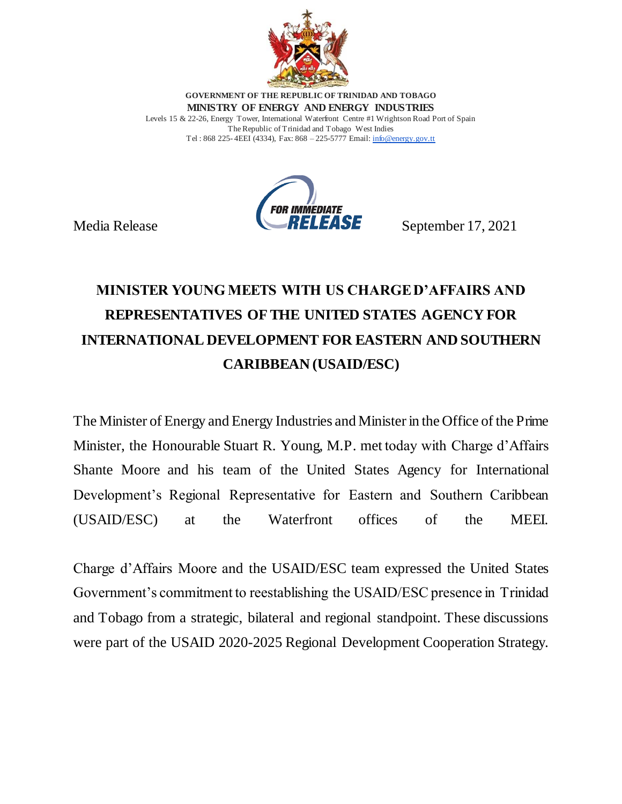

**GOVERNMENT OF THE REPUBLIC OF TRINIDAD AND TOBAGO MINISTRY OF ENERGY AND ENERGY INDUSTRIES** Levels 15 & 22-26, Energy Tower, International Waterfront Centre #1 Wrightson Road Port of Spain The Republic of Trinidad and Tobago West Indies Tel : 868 225- 4EEI (4334), Fax: 868 – 225-5777 Email[: info@energy.gov.tt](mailto:info@energy.gov.tt)



Media Release **September 17, 2021** 

## **MINISTER YOUNG MEETS WITH US CHARGE D'AFFAIRS AND REPRESENTATIVES OF THE UNITED STATES AGENCY FOR INTERNATIONAL DEVELOPMENT FOR EASTERN AND SOUTHERN CARIBBEAN (USAID/ESC)**

The Minister of Energy and Energy Industries and Minister in the Office of the Prime Minister, the Honourable Stuart R. Young, M.P. met today with Charge d'Affairs Shante Moore and his team of the United States Agency for International Development's Regional Representative for Eastern and Southern Caribbean (USAID/ESC) at the Waterfront offices of the MEEI.

Charge d'Affairs Moore and the USAID/ESC team expressed the United States Government's commitment to reestablishing the USAID/ESC presence in Trinidad and Tobago from a strategic, bilateral and regional standpoint. These discussions were part of the USAID 2020-2025 Regional Development Cooperation Strategy.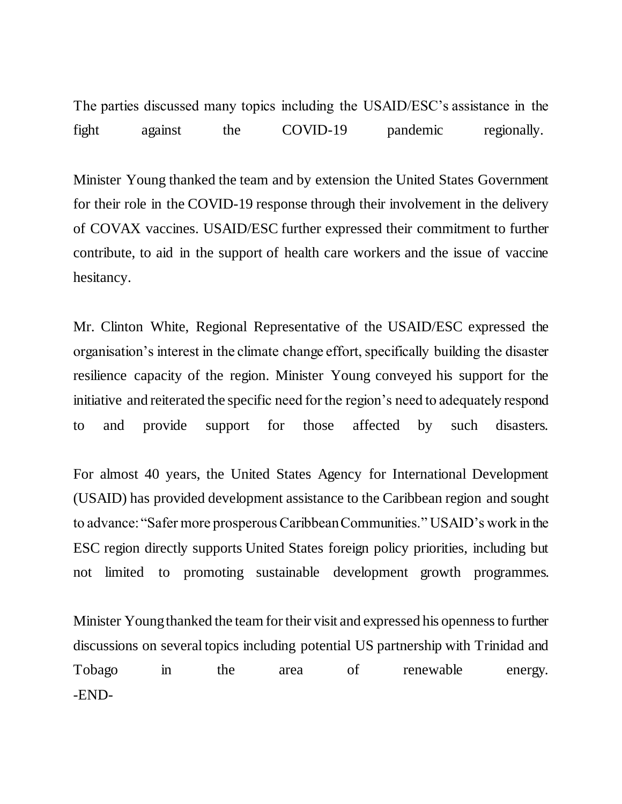The parties discussed many topics including the USAID/ESC's assistance in the fight against the COVID-19 pandemic regionally.

Minister Young thanked the team and by extension the United States Government for their role in the COVID-19 response through their involvement in the delivery of COVAX vaccines. USAID/ESC further expressed their commitment to further contribute, to aid in the support of health care workers and the issue of vaccine hesitancy.

Mr. Clinton White, Regional Representative of the USAID/ESC expressed the organisation's interest in the climate change effort, specifically building the disaster resilience capacity of the region. Minister Young conveyed his support for the initiative and reiterated the specific need for the region's need to adequately respond to and provide support for those affected by such disasters.

For almost 40 years, the United States Agency for International Development (USAID) has provided development assistance to the Caribbean region and sought to advance: "Safer more prosperous Caribbean Communities." USAID's work in the ESC region directly supports United States foreign policy priorities, including but not limited to promoting sustainable development growth programmes.

Minister Young thanked the team for their visit and expressed his openness to further discussions on several topics including potential US partnership with Trinidad and Tobago in the area of renewable energy. -END-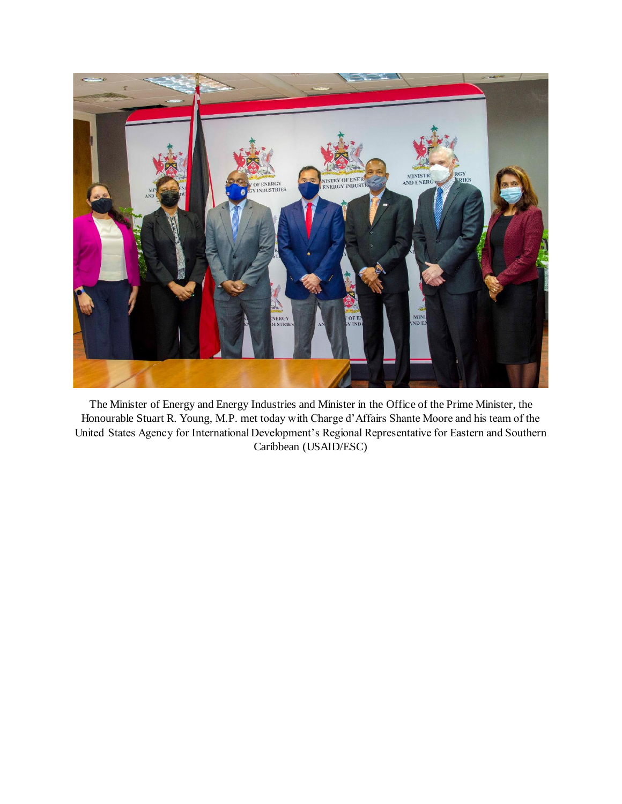

The Minister of Energy and Energy Industries and Minister in the Office of the Prime Minister, the Honourable Stuart R. Young, M.P. met today with Charge d'Affairs Shante Moore and his team of the United States Agency for International Development's Regional Representative for Eastern and Southern Caribbean (USAID/ESC)